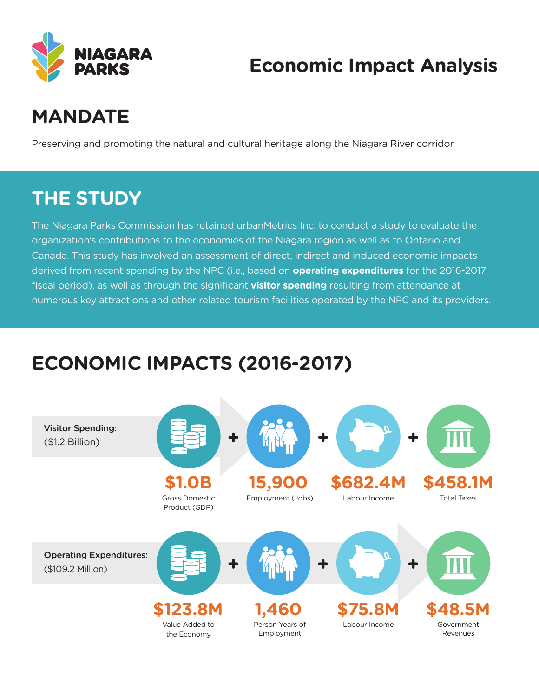

### **Economic Impact Analysis**

# **MANDATE**

Preserving and promoting the natural and cultural heritage along the Niagara River corridor.

#### **THE STUDY**

The Niagara Parks Commission has retained urbanMetrics Inc. to conduct a study to evaluate the organization's contributions to the economies of the Niagara region as well as to Ontario and Canada. This study has involved an assessment of direct, indirect and induced economic impacts derived from recent spending by the NPC (i.e., based on **operating expenditures** for the 2016-2017 fiscal period), as well as through the significant **visitor spending** resulting from attendance at numerous key attractions and other related tourism facilities operated by the NPC and its providers.

### **ECONOMIC IMPACTS (2016-2017)**